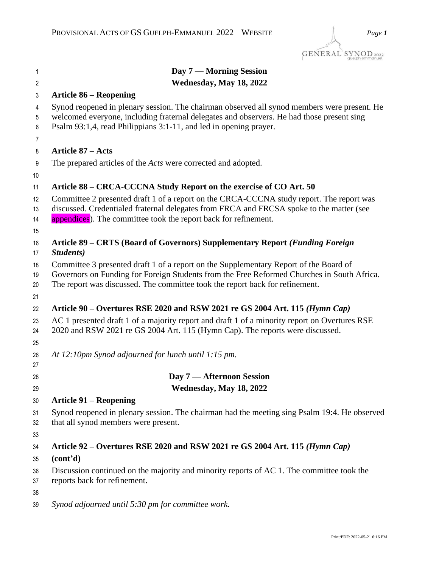| 1                    | Day 7 — Morning Session                                                                                                                                                                                                                                             |
|----------------------|---------------------------------------------------------------------------------------------------------------------------------------------------------------------------------------------------------------------------------------------------------------------|
| $\overline{2}$       | Wednesday, May 18, 2022                                                                                                                                                                                                                                             |
| 3                    | <b>Article 86 – Reopening</b>                                                                                                                                                                                                                                       |
| 4<br>5               | Synod reopened in plenary session. The chairman observed all synod members were present. He<br>welcomed everyone, including fraternal delegates and observers. He had those present sing                                                                            |
| 6                    | Psalm 93:1,4, read Philippians 3:1-11, and led in opening prayer.                                                                                                                                                                                                   |
| $\overline{7}$       |                                                                                                                                                                                                                                                                     |
| 8                    | <b>Article 87 – Acts</b>                                                                                                                                                                                                                                            |
| 9<br>10              | The prepared articles of the <i>Acts</i> were corrected and adopted.                                                                                                                                                                                                |
| 11                   | Article 88 - CRCA-CCCNA Study Report on the exercise of CO Art. 50                                                                                                                                                                                                  |
| 12<br>13<br>14       | Committee 2 presented draft 1 of a report on the CRCA-CCCNA study report. The report was<br>discussed. Credentialed fraternal delegates from FRCA and FRCSA spoke to the matter (see<br>appendices). The committee took the report back for refinement.             |
| 15                   |                                                                                                                                                                                                                                                                     |
| 16<br>17             | Article 89 – CRTS (Board of Governors) Supplementary Report (Funding Foreign<br>Students)                                                                                                                                                                           |
| 18<br>19<br>20       | Committee 3 presented draft 1 of a report on the Supplementary Report of the Board of<br>Governors on Funding for Foreign Students from the Free Reformed Churches in South Africa.<br>The report was discussed. The committee took the report back for refinement. |
| 21                   |                                                                                                                                                                                                                                                                     |
| 22<br>23<br>24<br>25 | Article 90 - Overtures RSE 2020 and RSW 2021 re GS 2004 Art. 115 (Hymn Cap)<br>AC 1 presented draft 1 of a majority report and draft 1 of a minority report on Overtures RSE<br>2020 and RSW 2021 re GS 2004 Art. 115 (Hymn Cap). The reports were discussed.       |
| 26<br>27             | At 12:10pm Synod adjourned for lunch until 1:15 pm.                                                                                                                                                                                                                 |
| 28                   | Day 7 - Afternoon Session                                                                                                                                                                                                                                           |
| 29                   | Wednesday, May 18, 2022                                                                                                                                                                                                                                             |
| 30                   | <b>Article 91 – Reopening</b>                                                                                                                                                                                                                                       |
| 31<br>32             | Synod reopened in plenary session. The chairman had the meeting sing Psalm 19:4. He observed<br>that all synod members were present.                                                                                                                                |
| 33                   |                                                                                                                                                                                                                                                                     |
| 34                   | Article 92 – Overtures RSE 2020 and RSW 2021 re GS 2004 Art. 115 (Hymn Cap)                                                                                                                                                                                         |
| 35                   | (cont <sup>2</sup> d)                                                                                                                                                                                                                                               |
| 36<br>37             | Discussion continued on the majority and minority reports of AC 1. The committee took the<br>reports back for refinement.                                                                                                                                           |
| 38<br>39             | Synod adjourned until 5:30 pm for committee work.                                                                                                                                                                                                                   |